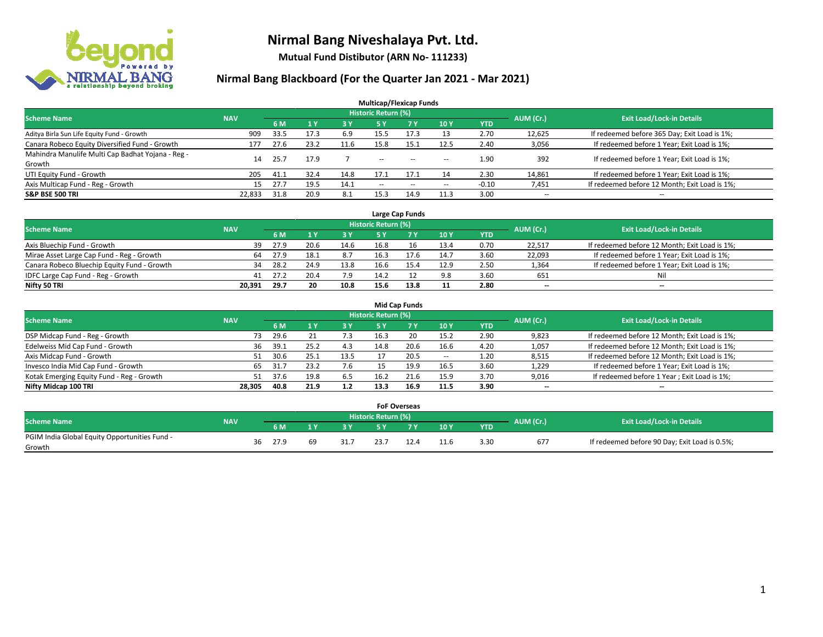

**Mutual Fund Distibutor (ARN No- 111233)**

| <b>Multicap/Flexicap Funds</b>                    |            |      |                |            |                            |            |                          |            |                          |                                               |  |  |  |
|---------------------------------------------------|------------|------|----------------|------------|----------------------------|------------|--------------------------|------------|--------------------------|-----------------------------------------------|--|--|--|
| <b>Scheme Name</b>                                | <b>NAV</b> |      |                |            | <b>Historic Return (%)</b> |            |                          |            | AUM (Cr.)                | <b>Exit Load/Lock-in Details</b>              |  |  |  |
|                                                   |            | 6 M  | 1 <sub>Y</sub> | <b>3 Y</b> | 5 Y                        | <b>7 Y</b> | 10Y                      | <b>YTD</b> |                          |                                               |  |  |  |
| Aditya Birla Sun Life Equity Fund - Growth        | 909        | 33.5 | 17.3           | 6.9        | 15.5                       | 17.3       | 13                       | 2.70       | 12,625                   | If redeemed before 365 Day; Exit Load is 1%;  |  |  |  |
| Canara Robeco Equity Diversified Fund - Growth    | 177        | 27.6 | 23.2           | 11.6       | 15.8                       | 15.        | 12.5                     | 2.40       | 3,056                    | If redeemed before 1 Year; Exit Load is 1%;   |  |  |  |
| Mahindra Manulife Multi Cap Badhat Yojana - Reg - | 14         | 25.7 | 17.9           |            | $\sim$                     | $\sim$     |                          | 1.90       | 392                      | If redeemed before 1 Year; Exit Load is 1%;   |  |  |  |
| Growth                                            |            |      |                |            |                            |            | $\overline{\phantom{a}}$ |            |                          |                                               |  |  |  |
| UTI Equity Fund - Growth                          | 205        | 41.1 | 32.4           | 14.8       | 17.1                       | 17.1       | 14                       | 2.30       | 14,861                   | If redeemed before 1 Year; Exit Load is 1%;   |  |  |  |
| Axis Multicap Fund - Reg - Growth                 | 15         | 27.7 | 19.5           | 14.1       | $\overline{\phantom{a}}$   | $-$        | --                       | $-0.10$    | 7,451                    | If redeemed before 12 Month; Exit Load is 1%; |  |  |  |
| <b>S&amp;P BSE 500 TRI</b>                        | 22.833     | 31.8 | 20.9           | 8.1        | 15.3                       | 14.9       | 11.3                     | 3.00       | $\overline{\phantom{a}}$ | $- -$                                         |  |  |  |

|                                             |            |      |      |      |                            | Large Cap Funds |      |            |           |                                               |
|---------------------------------------------|------------|------|------|------|----------------------------|-----------------|------|------------|-----------|-----------------------------------------------|
| <b>Scheme Name</b>                          | <b>NAV</b> |      |      |      | <b>Historic Return (%)</b> |                 |      |            | AUM (Cr.) | <b>Exit Load/Lock-in Details</b>              |
|                                             |            | 6 M  |      | 3Y   |                            | <b>7Y</b>       | 10Y  | <b>YTD</b> |           |                                               |
| Axis Bluechip Fund - Growth                 | 39         | 27.9 | 20.6 | 14.6 | 16.8                       | 16              | 13.4 | 0.70       | 22,517    | If redeemed before 12 Month; Exit Load is 1%; |
| Mirae Asset Large Cap Fund - Reg - Growth   | 64         | 27.9 | 18.1 | 8.7  | 16.3                       | 17.6            | 14.7 | 3.60       | 22,093    | If redeemed before 1 Year; Exit Load is 1%;   |
| Canara Robeco Bluechip Equity Fund - Growth | 34         | 28.2 | 24.9 | 13.8 | 16.6                       |                 | 12.9 | 2.50       | 1,364     | If redeemed before 1 Year; Exit Load is 1%;   |
| IDFC Large Cap Fund - Reg - Growth          | 41         | 27.2 | 20.4 | 7.9  | 14.2                       |                 | 9.8  | 3.60       | 651       | Nil                                           |
| Nifty 50 TRI                                | 20.391     | 29.7 | 20   | 10.8 | 15.6                       | 13.8            | 11   | 2.80       | $- -$     | $- -$                                         |

| <b>Mid Cap Funds</b>                      |            |            |                                  |           |      |      |       |            |                          |                                               |  |  |  |  |
|-------------------------------------------|------------|------------|----------------------------------|-----------|------|------|-------|------------|--------------------------|-----------------------------------------------|--|--|--|--|
| <b>Scheme Name</b>                        | <b>NAV</b> | AUM (Cr.)  | <b>Exit Load/Lock-in Details</b> |           |      |      |       |            |                          |                                               |  |  |  |  |
|                                           |            | 6 M        |                                  | <b>3Y</b> | 5 Y  |      | 10Y   | <b>YTD</b> |                          |                                               |  |  |  |  |
| DSP Midcap Fund - Reg - Growth            |            | 29.6<br>73 |                                  | 7.3       | 16.3 | 20   | 15.2  | 2.90       | 9,823                    | If redeemed before 12 Month; Exit Load is 1%; |  |  |  |  |
| Edelweiss Mid Cap Fund - Growth           |            | 39.1<br>36 | 25.2                             | 4.3       | 14.8 | 20.6 | 16.6  | 4.20       | 1,057                    | If redeemed before 12 Month; Exit Load is 1%; |  |  |  |  |
| Axis Midcap Fund - Growth                 |            | 30.6<br>51 | 25.1                             | 13.5      |      | 20.5 | $\!-$ | 1.20       | 8,515                    | If redeemed before 12 Month; Exit Load is 1%; |  |  |  |  |
| Invesco India Mid Cap Fund - Growth       |            | 65<br>31.7 | 23.2                             | 7.6       |      | 19.9 | 16.5  | 3.60       | 1,229                    | If redeemed before 1 Year; Exit Load is 1%;   |  |  |  |  |
| Kotak Emerging Equity Fund - Reg - Growth | 51         | 37.6       | 19.8                             | 6.5       | 16.2 |      | 15.9  | 3.70       | 9,016                    | If redeemed before 1 Year; Exit Load is 1%;   |  |  |  |  |
| Nifty Midcap 100 TRI                      | 28.305     | 40.8       | 21.9                             | 1.2       | 13.3 | 16.9 | 11.5  | 3.90       | $\overline{\phantom{m}}$ | $\overline{\phantom{a}}$                      |  |  |  |  |

|                                                         |            |    |      |      | <b>FoF Overseas</b>        |    |     |            |           |                                               |
|---------------------------------------------------------|------------|----|------|------|----------------------------|----|-----|------------|-----------|-----------------------------------------------|
| Scheme Name                                             | <b>NAV</b> |    |      |      | <b>Historic Return (%)</b> |    |     |            | AUM (Cr.) | <b>Exit Load/Lock-in Details</b>              |
|                                                         |            |    | 6 M  | 2V   |                            | 7V | 10Y | <b>YTD</b> |           |                                               |
| PGIM India Global Equity Opportunities Fund -<br>Growth |            | 36 | 27.9 | 31.7 | 23.7                       |    |     | 3.30       | 677       | If redeemed before 90 Day; Exit Load is 0.5%; |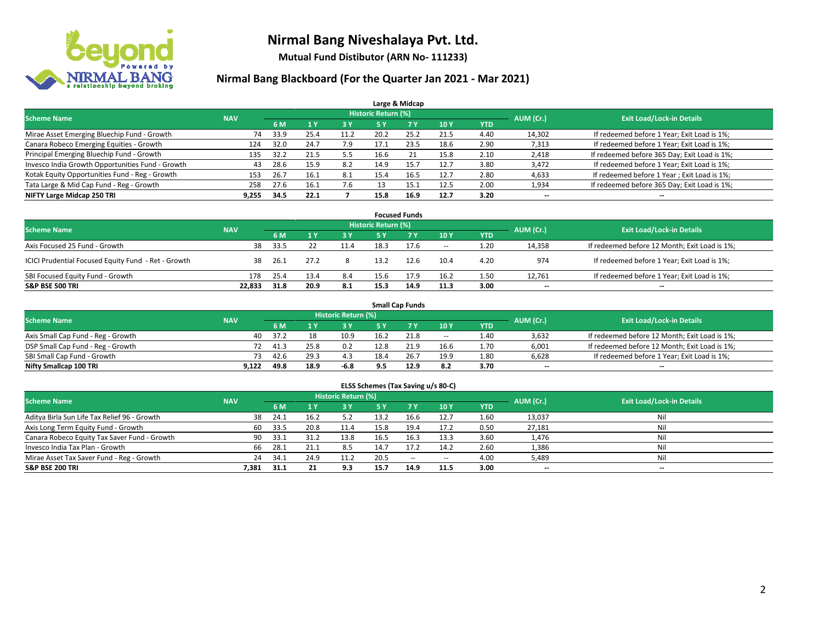

**Mutual Fund Distibutor (ARN No- 111233)**

| Large & Midcap                                   |            |      |                |           |                            |           |      |            |           |                                              |  |  |  |  |
|--------------------------------------------------|------------|------|----------------|-----------|----------------------------|-----------|------|------------|-----------|----------------------------------------------|--|--|--|--|
| <b>Scheme Name</b>                               | <b>NAV</b> |      |                |           | <b>Historic Return (%)</b> |           |      |            | AUM (Cr.) | <b>Exit Load/Lock-in Details</b>             |  |  |  |  |
|                                                  |            | 6 M  | 4 <sup>v</sup> | <b>3Y</b> | <b>5 Y</b>                 | <b>7Y</b> | 10Y  | <b>YTD</b> |           |                                              |  |  |  |  |
| Mirae Asset Emerging Bluechip Fund - Growth      | 74         | 33.9 | 25.4           | 11.2      | 20.2                       | 25.2      | 21.5 | 4.40       | 14,302    | If redeemed before 1 Year; Exit Load is 1%;  |  |  |  |  |
| Canara Robeco Emerging Equities - Growth         | 124        | 32.0 | 24.7           | 7.9       | 17.1                       | 23.5      | 18.6 | 2.90       | 7,313     | If redeemed before 1 Year; Exit Load is 1%;  |  |  |  |  |
| Principal Emerging Bluechip Fund - Growth        | 135        | 32.2 | 21.5           | 5.5       | 16.6                       |           | 15.8 | 2.10       | 2,418     | If redeemed before 365 Day; Exit Load is 1%; |  |  |  |  |
| Invesco India Growth Opportunities Fund - Growth | 43         | 28.6 | 15.9           | 8.2       | 14.9                       | 15.7      | 12.7 | 3.80       | 3,472     | If redeemed before 1 Year; Exit Load is 1%;  |  |  |  |  |
| Kotak Equity Opportunities Fund - Reg - Growth   | 153        | 26.7 | 16.1           | 8.1       | 15.4                       | 16.5      | 12.7 | 2.80       | 4,633     | If redeemed before 1 Year; Exit Load is 1%;  |  |  |  |  |
| Tata Large & Mid Cap Fund - Reg - Growth         | 258        | 27.6 | 16.1           | 7.6       |                            | 15.       | 12.5 | 2.00       | 1,934     | If redeemed before 365 Day; Exit Load is 1%; |  |  |  |  |
| NIFTY Large Midcap 250 TRI                       | 9.255      | 34.5 | 22.1           |           | 15.8                       | 16.9      | 12.7 | 3.20       | --        | --                                           |  |  |  |  |

| <b>Focused Funds</b>                                |            |      |      |      |                     |      |            |            |           |                                               |  |  |  |
|-----------------------------------------------------|------------|------|------|------|---------------------|------|------------|------------|-----------|-----------------------------------------------|--|--|--|
| <b>Scheme Name</b>                                  | <b>NAV</b> |      |      |      | Historic Return (%) |      |            |            | AUM (Cr.) | <b>Exit Load/Lock-in Details</b>              |  |  |  |
|                                                     |            | 6 M  |      | 3 Y  | 5 ۷                 |      | <b>10Y</b> | <b>YTD</b> |           |                                               |  |  |  |
| Axis Focused 25 Fund - Growth                       | 38         | 33.5 |      | 11.4 | 18.3                | 17.6 | $\sim$     | 1.20       | 14,358    | If redeemed before 12 Month; Exit Load is 1%; |  |  |  |
| ICICI Prudential Focused Equity Fund - Ret - Growth | 38         | 26.1 | 27.2 |      | 13.2                | 12.6 | 10.4       | 4.20       | 974       | If redeemed before 1 Year; Exit Load is 1%;   |  |  |  |
| SBI Focused Equity Fund - Growth                    | 178        | 25.4 | 13.4 | 8.4  | 15.6                | 17.9 | 16.2       | 1.50       | 12,761    | If redeemed before 1 Year; Exit Load is 1%;   |  |  |  |
| <b>S&amp;P BSE 500 TRI</b>                          | 22.833     | 31.8 | 20.9 | 8.1  | 15.3                | 14.9 | 11.3       | 3.00       | $- -$     | $\overline{\phantom{a}}$                      |  |  |  |

| <b>Small Cap Funds</b>             |            |           |                                  |      |      |      |                          |            |       |                                               |  |  |  |
|------------------------------------|------------|-----------|----------------------------------|------|------|------|--------------------------|------------|-------|-----------------------------------------------|--|--|--|
| <b>Scheme Name</b>                 | <b>NAV</b> | AUM (Cr.) | <b>Exit Load/Lock-in Details</b> |      |      |      |                          |            |       |                                               |  |  |  |
|                                    |            | 6 M       |                                  |      |      |      | 10Y                      | <b>YTD</b> |       |                                               |  |  |  |
| Axis Small Cap Fund - Reg - Growth | 40         | 37.2      | 18                               | 10.9 | 16.2 | 21.8 | $\overline{\phantom{a}}$ | 1.40       | 3,632 | If redeemed before 12 Month; Exit Load is 1%; |  |  |  |
| DSP Small Cap Fund - Reg - Growth  | 72         | 41.3      | 25.8                             | 0.2  | 12.8 | 21.9 | 16.6                     | 1.70       | 6,001 | If redeemed before 12 Month; Exit Load is 1%; |  |  |  |
| SBI Small Cap Fund - Growth        | 73.        | 42.6      | 29.3                             |      | 18.4 | 26.7 | 19.9                     | 1.80       | 6,628 | If redeemed before 1 Year; Exit Load is 1%;   |  |  |  |
| Nifty Smallcap 100 TRI             | 9,122      | 49.8      | 18.9                             | -6.8 |      | 12.9 | 8.2                      | 3.70       | $- -$ | $\overline{\phantom{a}}$                      |  |  |  |

| ELSS Schemes (Tax Saving u/s 80-C)           |            |      |                |                            |           |            |       |            |           |                                  |  |  |  |
|----------------------------------------------|------------|------|----------------|----------------------------|-----------|------------|-------|------------|-----------|----------------------------------|--|--|--|
| <b>Scheme Name</b>                           | <b>NAV</b> |      |                | <b>Historic Return (%)</b> |           |            |       |            | AUM (Cr.) | <b>Exit Load/Lock-in Details</b> |  |  |  |
|                                              |            | 6 M  | 1 <sup>1</sup> | 3 Y                        | <b>5Y</b> | <b>7 Y</b> | 10Y   | <b>YTD</b> |           |                                  |  |  |  |
| Aditya Birla Sun Life Tax Relief 96 - Growth | 38         | 24.1 | 16.2           | 5.2                        | 13.2      | 16.6       | 12.7  | 1.60       | 13,037    | Ni                               |  |  |  |
| Axis Long Term Equity Fund - Growth          | 60         | 33.5 | 20.8           | 11.4                       | 15.8      | 19.4       | 17.2  | 0.50       | 27,181    | Ni                               |  |  |  |
| Canara Robeco Equity Tax Saver Fund - Growth | 90         | 33.1 | 31.7           | 13.8                       | 16.5      | 16.3       | 13.3  | 3.60       | 1,476     | Ni                               |  |  |  |
| Invesco India Tax Plan - Growth              | 66         | 28.1 | 21.1           | 8.5                        | 14.7      | 17.2       | 14.2  | 2.60       | 1,386     | Ni                               |  |  |  |
| Mirae Asset Tax Saver Fund - Reg - Growth    | 24         | 34.1 | 24.9           | 11.2                       | 20.5      | $\sim$     | $- -$ | 4.00       | 5,489     | Ni                               |  |  |  |
| <b>S&amp;P BSE 200 TRI</b>                   | 7.381      | 31.1 | 21             | 9.3                        | 15.7      | 14.9       | 11.5  | 3.00       | $- -$     | $- -$                            |  |  |  |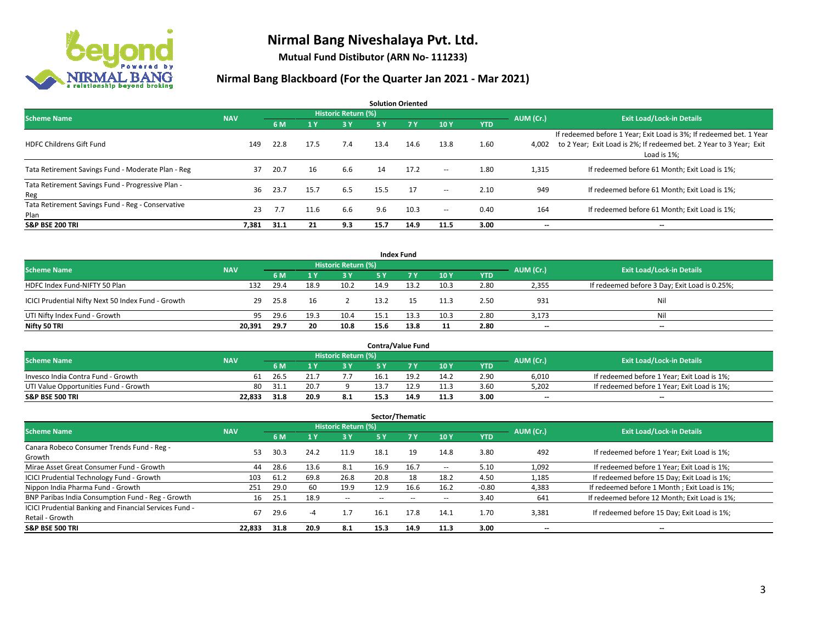

**Mutual Fund Distibutor (ARN No- 111233)**

| <b>Solution Oriented</b>                                  |            |      |      |                            |      |           |                          |            |           |                                                                                                                                                           |  |  |  |
|-----------------------------------------------------------|------------|------|------|----------------------------|------|-----------|--------------------------|------------|-----------|-----------------------------------------------------------------------------------------------------------------------------------------------------------|--|--|--|
| <b>Scheme Name</b>                                        | <b>NAV</b> |      |      | <b>Historic Return (%)</b> |      |           |                          |            | AUM (Cr.) | <b>Exit Load/Lock-in Details</b>                                                                                                                          |  |  |  |
|                                                           |            | 6 M  | 1 Y  | <b>3Y</b>                  | 5 Y  | <b>7Y</b> | 10Y                      | <b>YTD</b> |           |                                                                                                                                                           |  |  |  |
| <b>HDFC Childrens Gift Fund</b>                           | 149        | 22.8 | 17.5 | 7.4                        | 13.4 | 14.6      | 13.8                     | 1.60       | 4,002     | If redeemed before 1 Year; Exit Load is 3%; If redeemed bet. 1 Year<br>to 2 Year; Exit Load is 2%; If redeemed bet. 2 Year to 3 Year; Exit<br>Load is 1%: |  |  |  |
| Tata Retirement Savings Fund - Moderate Plan - Reg        | 37         | 20.7 | 16   | 6.6                        | 14   | 17.2      | $\overline{\phantom{a}}$ | 1.80       | 1,315     | If redeemed before 61 Month; Exit Load is 1%;                                                                                                             |  |  |  |
| Tata Retirement Savings Fund - Progressive Plan -<br>Reg  | 36         | 23.7 | 15.7 | 6.5                        | 15.5 | 17        | $\sim$                   | 2.10       | 949       | If redeemed before 61 Month; Exit Load is 1%;                                                                                                             |  |  |  |
| Tata Retirement Savings Fund - Reg - Conservative<br>Plan | 23         | 7.7  | 11.6 | 6.6                        | 9.6  | 10.3      | $\!-$                    | 0.40       | 164       | If redeemed before 61 Month; Exit Load is 1%;                                                                                                             |  |  |  |
| <b>S&amp;P BSE 200 TRI</b>                                | 7,381      | 31.1 | 21   | 9.3                        | 15.7 | 14.9      | 11.5                     | 3.00       | --        | --                                                                                                                                                        |  |  |  |

| <b>Index Fund</b>                                  |            |      |      |                     |      |      |      |            |           |                                               |  |  |  |
|----------------------------------------------------|------------|------|------|---------------------|------|------|------|------------|-----------|-----------------------------------------------|--|--|--|
| <b>Scheme Name</b>                                 | <b>NAV</b> |      |      | Historic Return (%) |      |      |      |            | AUM (Cr.) | <b>Exit Load/Lock-in Details</b>              |  |  |  |
|                                                    |            | 6 M  |      | 3 Y                 | 5 Y  | 7Y   | 10Y  | <b>YTD</b> |           |                                               |  |  |  |
| HDFC Index Fund-NIFTY 50 Plan                      | 132        | 29.4 | 18.9 | 10.2                | 14.9 | 13.2 | 10.3 | 2.80       | 2,355     | If redeemed before 3 Day; Exit Load is 0.25%; |  |  |  |
| ICICI Prudential Nifty Next 50 Index Fund - Growth | 29         | 25.8 | 16   |                     | 13.2 |      | 11.3 | 2.50       | 931       | Nil                                           |  |  |  |
| UTI Nifty Index Fund - Growth                      | 95         | 29.6 | 19.3 | 10.4                | 15.1 | 13.3 | 10.3 | 2.80       | 3,173     | Nil                                           |  |  |  |
| Nifty 50 TRI                                       | 20,391     | 29.7 | 20   | 10.8                | 15.6 | 13.8 | 11   | 2.80       | $-$       | $\overline{\phantom{a}}$                      |  |  |  |

|                                       |            |      |      |                     |      | <b>Contra/Value Fund</b> |      |      |           |                                             |
|---------------------------------------|------------|------|------|---------------------|------|--------------------------|------|------|-----------|---------------------------------------------|
| <b>Scheme Name</b>                    | <b>NAV</b> |      |      | Historic Return (%) |      |                          |      |      | AUM (Cr.) | <b>Exit Load/Lock-in Details</b>            |
|                                       |            | 6 M  |      | 3 Y                 |      |                          | 10Y  | YTD  |           |                                             |
| Invesco India Contra Fund - Growth    | 61         | 26.5 |      |                     | 16.1 | 19.                      | 14.2 | 2.90 | 6,010     | If redeemed before 1 Year; Exit Load is 1%; |
| UTI Value Opportunities Fund - Growth | 80         | 31.1 | 20.7 |                     | 13.7 | 12.9                     | 11.3 | 3.60 | 5,202     | If redeemed before 1 Year; Exit Load is 1%; |
| <b>S&amp;P BSE 500 TRI</b>            | 22.833     | 31.8 | 20.9 | 8.1                 | 15.3 | 14.9                     | 11.3 | 3.00 | $- -$     | $\overline{\phantom{a}}$                    |

| Sector/Thematic                                                           |            |      |                         |                            |      |        |      |            |           |                                               |  |  |  |
|---------------------------------------------------------------------------|------------|------|-------------------------|----------------------------|------|--------|------|------------|-----------|-----------------------------------------------|--|--|--|
| <b>Scheme Name</b>                                                        | <b>NAV</b> |      |                         | <b>Historic Return (%)</b> |      |        |      |            | AUM (Cr.) | <b>Exit Load/Lock-in Details</b>              |  |  |  |
|                                                                           |            | 6 M  | $\mathbf{1} \mathbf{y}$ | <b>3Y</b>                  | 5 Y  | 7 Y    | 10Y  | <b>YTD</b> |           |                                               |  |  |  |
| Canara Robeco Consumer Trends Fund - Reg -<br>Growth                      | 53         | 30.3 | 24.2                    | 11.9                       | 18.1 | 19     | 14.8 | 3.80       | 492       | If redeemed before 1 Year; Exit Load is 1%;   |  |  |  |
| Mirae Asset Great Consumer Fund - Growth                                  | 44         | 28.6 | 13.6                    | 8.1                        | 16.9 | 16.7   | --   | 5.10       | 1,092     | If redeemed before 1 Year; Exit Load is 1%;   |  |  |  |
| ICICI Prudential Technology Fund - Growth                                 | 103        | 61.2 | 69.8                    | 26.8                       | 20.8 | 18     | 18.2 | 4.50       | 1,185     | If redeemed before 15 Day; Exit Load is 1%;   |  |  |  |
| Nippon India Pharma Fund - Growth                                         | 251        | 29.0 | 60                      | 19.9                       | 12.9 | 16.6   | 16.2 | $-0.80$    | 4,383     | If redeemed before 1 Month; Exit Load is 1%;  |  |  |  |
| BNP Paribas India Consumption Fund - Reg - Growth                         | 16         | 25.1 | 18.9                    | $\sim$                     | --   | $\sim$ | --   | 3.40       | 641       | If redeemed before 12 Month; Exit Load is 1%; |  |  |  |
| ICICI Prudential Banking and Financial Services Fund -<br>Retail - Growth | 67         | 29.6 | -4                      | 1.7                        | 16.1 | 17.8   | 14.1 | 1.70       | 3,381     | If redeemed before 15 Day; Exit Load is 1%;   |  |  |  |
| <b>S&amp;P BSE 500 TRI</b>                                                | 22.833     | 31.8 | 20.9                    | 8.1                        | 15.3 | 14.9   | 11.3 | 3.00       | --        | --                                            |  |  |  |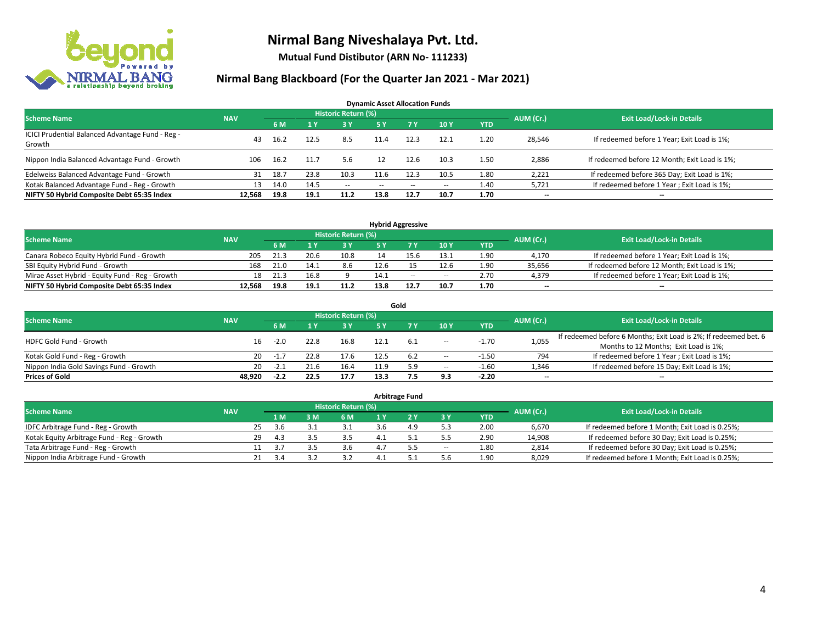

**Mutual Fund Distibutor (ARN No- 111233)**

| <b>Dynamic Asset Allocation Funds</b>                      |            |      |      |                     |               |      |                          |            |                          |                                               |  |  |  |
|------------------------------------------------------------|------------|------|------|---------------------|---------------|------|--------------------------|------------|--------------------------|-----------------------------------------------|--|--|--|
| <b>Scheme Name</b>                                         | <b>NAV</b> |      |      | Historic Return (%) |               |      |                          |            | AUM (Cr.)                | <b>Exit Load/Lock-in Details</b>              |  |  |  |
|                                                            |            | 6 M  |      | 73 Y.               | 5 Y           | 7Y   | 10Y                      | <b>YTD</b> |                          |                                               |  |  |  |
| ICICI Prudential Balanced Advantage Fund - Reg -<br>Growth | 43         | 16.2 | 12.5 | 8.5                 | 11.4          | 12.3 | 12.1                     | 1.20       | 28,546                   | If redeemed before 1 Year; Exit Load is 1%;   |  |  |  |
| Nippon India Balanced Advantage Fund - Growth              | 106        | 16.2 | 11.7 | 5.6                 |               | 12.6 | 10.3                     | 1.50       | 2,886                    | If redeemed before 12 Month; Exit Load is 1%; |  |  |  |
| Edelweiss Balanced Advantage Fund - Growth                 | 31         | 18.7 | 23.8 | 10.3                | 11.6          | 12.3 | 10.5                     | 1.80       | 2,221                    | If redeemed before 365 Day; Exit Load is 1%;  |  |  |  |
| Kotak Balanced Advantage Fund - Reg - Growth               | 13         | 14.0 | 14.5 | $\sim$              | $\sim$ $\sim$ | $-$  | $\overline{\phantom{a}}$ | 1.40       | 5,721                    | If redeemed before 1 Year; Exit Load is 1%;   |  |  |  |
| NIFTY 50 Hybrid Composite Debt 65:35 Index                 | 12.568     | 19.8 | 19.1 | 11.2                | 13.8          | 12.7 | 10.7                     | 1.70       | $\overline{\phantom{a}}$ | $\overline{\phantom{a}}$                      |  |  |  |

| <b>Hybrid Aggressive</b>                        |            |                                  |      |      |      |      |        |            |           |                                               |  |  |  |
|-------------------------------------------------|------------|----------------------------------|------|------|------|------|--------|------------|-----------|-----------------------------------------------|--|--|--|
| <b>Scheme Name</b>                              |            | <b>Exit Load/Lock-in Details</b> |      |      |      |      |        |            |           |                                               |  |  |  |
|                                                 | <b>NAV</b> | 6 M                              |      | 2 V  |      |      | 10Y    | <b>YTD</b> | AUM (Cr.) |                                               |  |  |  |
| Canara Robeco Equity Hybrid Fund - Growth       | 205        | 21.3                             | 20.6 | 10.8 |      |      | 13.1   | 1.90       | 4,170     | If redeemed before 1 Year; Exit Load is 1%;   |  |  |  |
| SBI Equity Hybrid Fund - Growth                 | 168        | 21.0                             | 14.1 | 8.6  | 12.6 |      | 12.6   | 1.90       | 35,656    | If redeemed before 12 Month; Exit Load is 1%; |  |  |  |
| Mirae Asset Hybrid - Equity Fund - Reg - Growth | 18         | 21.3                             | 16.8 |      | 14.1 | $-$  | $\sim$ | 2.70       | 4,379     | If redeemed before 1 Year; Exit Load is 1%;   |  |  |  |
| NIFTY 50 Hybrid Composite Debt 65:35 Index      | 12.568     | 19.8                             | 19.1 | 11.2 | 13.8 | 12.7 | 10.7   | 1.70       | $- -$     | $\overline{\phantom{a}}$                      |  |  |  |

| Gold                                    |            |        |      |                     |      |       |                          |            |                          |                                                                  |  |  |  |
|-----------------------------------------|------------|--------|------|---------------------|------|-------|--------------------------|------------|--------------------------|------------------------------------------------------------------|--|--|--|
| <b>Scheme Name</b>                      | <b>NAV</b> |        |      | Historic Return (%) |      |       |                          |            | AUM (Cr.)                | <b>Exit Load/Lock-in Details</b>                                 |  |  |  |
|                                         |            | 6 M    |      | 3 Y                 | 5 Y  |       | 10Y                      | <b>YTD</b> |                          |                                                                  |  |  |  |
| HDFC Gold Fund - Growth                 | 16         | $-2.0$ | 22.8 | 16.8                | 12.1 | - 6.1 |                          | $-1.70$    | 1,055                    | If redeemed before 6 Months; Exit Load is 2%; If redeemed bet. 6 |  |  |  |
|                                         |            |        |      |                     |      |       | $- -$                    |            |                          | Months to 12 Months; Exit Load is 1%;                            |  |  |  |
| Kotak Gold Fund - Reg - Growth          | 20         | -1.,   |      | 17.6                |      | 6.2   | $\sim$                   | $-1.50$    | 794                      | If redeemed before 1 Year; Exit Load is 1%;                      |  |  |  |
| Nippon India Gold Savings Fund - Growth | 20         | -2.1   | 21.6 | 16.4                | 11.0 | 5.9   | $\overline{\phantom{a}}$ | $-1.60$    | 1,346                    | If redeemed before 15 Day; Exit Load is 1%;                      |  |  |  |
| <b>Prices of Gold</b>                   | 48.920     | $-2.2$ | 22.5 | 17.7                | 13.3 |       | 9.3                      | $-2.20$    | $\overline{\phantom{a}}$ | --                                                               |  |  |  |

| <b>Arbitrage Fund</b>                      |            |    |      |   |                            |  |  |           |            |           |                                                 |  |  |
|--------------------------------------------|------------|----|------|---|----------------------------|--|--|-----------|------------|-----------|-------------------------------------------------|--|--|
| <b>Scheme Name</b>                         | <b>NAV</b> |    |      |   | <b>Historic Return (%)</b> |  |  |           |            | AUM (Cr.) | <b>Exit Load/Lock-in Details</b>                |  |  |
|                                            |            |    | 1 M  | M | 6 M                        |  |  | <b>3Y</b> | <b>YTD</b> |           |                                                 |  |  |
| IDFC Arbitrage Fund - Reg - Growth         |            | 25 | 3.6  |   |                            |  |  |           | 2.00       | 6,670     | If redeemed before 1 Month; Exit Load is 0.25%; |  |  |
| Kotak Equity Arbitrage Fund - Reg - Growth |            | 29 | 4.3  |   | 3.5                        |  |  |           | 2.90       | 14,908    | If redeemed before 30 Day; Exit Load is 0.25%;  |  |  |
| Tata Arbitrage Fund - Reg - Growth         |            |    | -2.7 |   | 3.6                        |  |  | $\sim$    | 1.80       | 2,814     | If redeemed before 30 Day; Exit Load is 0.25%;  |  |  |
| Nippon India Arbitrage Fund - Growth       |            | 21 | 3.4  |   |                            |  |  | 5.6       | 1.90       | 8,029     | If redeemed before 1 Month; Exit Load is 0.25%; |  |  |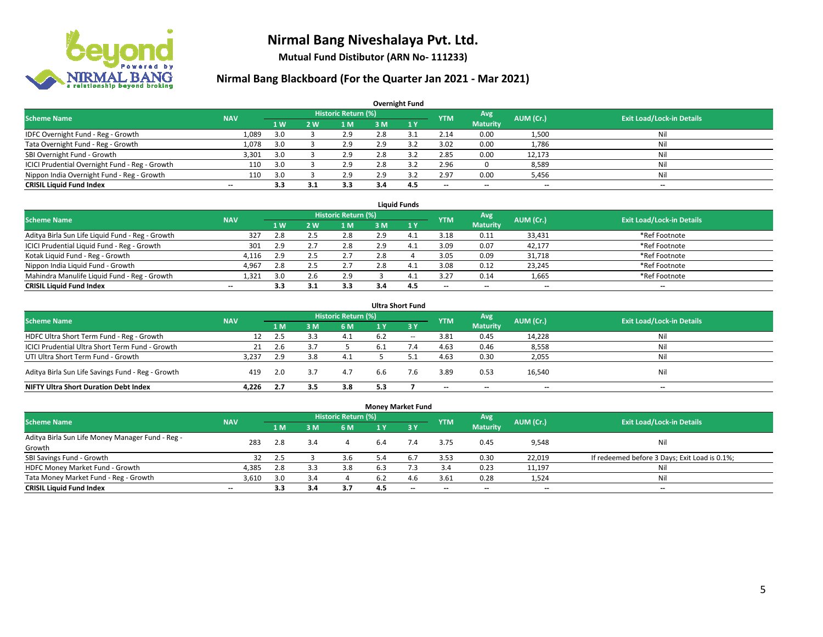

**Mutual Fund Distibutor (ARN No- 111233)**

| <b>Overnight Fund</b>                          |            |     |     |                            |     |     |            |                 |                          |                                  |  |  |  |
|------------------------------------------------|------------|-----|-----|----------------------------|-----|-----|------------|-----------------|--------------------------|----------------------------------|--|--|--|
| <b>Scheme Name</b>                             | <b>NAV</b> |     |     | <b>Historic Return (%)</b> |     |     | <b>YTM</b> | <b>Avg</b>      | AUM (Cr.)                | <b>Exit Load/Lock-in Details</b> |  |  |  |
|                                                |            | 1W  | 2 W | l M                        | 3 M | 1Y  |            | <b>Maturity</b> |                          |                                  |  |  |  |
| IDFC Overnight Fund - Reg - Growth             | 1,089      | 3.0 |     | 2.9                        | 2.8 | 35  | 2.14       | 0.00            | 1,500                    | Nil                              |  |  |  |
| Tata Overnight Fund - Reg - Growth             | 1,078      | 3.0 |     | 2.9                        | 2.9 | 3.2 | 3.02       | 0.00            | 1,786                    | Nil                              |  |  |  |
| SBI Overnight Fund - Growth                    | 3,301      | 3.0 |     | 2.9                        | 2.8 | 3.2 | 2.85       | 0.00            | 12,173                   | Nil                              |  |  |  |
| ICICI Prudential Overnight Fund - Reg - Growth | 110        | 3.0 |     | 2.9                        | 2.8 |     | 2.96       |                 | 8,589                    | Nil                              |  |  |  |
| Nippon India Overnight Fund - Reg - Growth     | 110        | 3.0 |     | 2.9                        | 2.9 |     | 2.97       | 0.00            | 5,456                    | Nil                              |  |  |  |
| <b>CRISIL Liquid Fund Index</b>                | $- -$      | 3.3 | 3.1 | 3.3                        | 3.4 | 4.5 | --         | --              | $\overline{\phantom{m}}$ | --                               |  |  |  |

| <b>Liquid Funds</b>                              |            |                |     |                            |     |     |            |                          |                          |                                  |  |  |  |
|--------------------------------------------------|------------|----------------|-----|----------------------------|-----|-----|------------|--------------------------|--------------------------|----------------------------------|--|--|--|
| <b>Scheme Name</b>                               | <b>NAV</b> |                |     | <b>Historic Return (%)</b> |     |     | <b>YTM</b> | Avg                      | AUM (Cr.)                | <b>Exit Load/Lock-in Details</b> |  |  |  |
|                                                  |            | 1 <sub>W</sub> | 2 W | 1 M                        | 3 M |     |            | <b>Maturity</b>          |                          |                                  |  |  |  |
| Aditya Birla Sun Life Liquid Fund - Reg - Growth | 327        | 2.8            |     | 2.8                        | 2.9 |     | 3.18       | 0.11                     | 33,431                   | *Ref Footnote                    |  |  |  |
| ICICI Prudential Liquid Fund - Reg - Growth      | 301        | 2.9            |     | 2.8                        | 2.9 | 4.  | 3.09       | 0.07                     | 42,177                   | *Ref Footnote                    |  |  |  |
| Kotak Liquid Fund - Reg - Growth                 | 4.116      | 2.9            |     | 2.7                        | 2.8 |     | 3.05       | 0.09                     | 31,718                   | *Ref Footnote                    |  |  |  |
| Nippon India Liquid Fund - Growth                | 4,967      | 2.8            |     | 2.7                        | 2.8 | 4.  | 3.08       | 0.12                     | 23,245                   | *Ref Footnote                    |  |  |  |
| Mahindra Manulife Liquid Fund - Reg - Growth     | 1,321      | 3.0            |     | 2.9                        |     | 4.  | 3.27       | 0.14                     | 1,665                    | *Ref Footnote                    |  |  |  |
| <b>CRISIL Liquid Fund Index</b>                  | $- -$      | 3.3            |     | 3.3                        | 3.4 | 4.5 | $- -$      | $\overline{\phantom{a}}$ | $\overline{\phantom{a}}$ | $-$                              |  |  |  |

| <b>Ultra Short Fund</b>                           |            |     |     |                            |       |        |                          |                 |           |                                  |  |  |  |
|---------------------------------------------------|------------|-----|-----|----------------------------|-------|--------|--------------------------|-----------------|-----------|----------------------------------|--|--|--|
| <b>Scheme Name</b>                                | <b>NAV</b> |     |     | <b>Historic Return (%)</b> |       |        | <b>YTM</b>               | Avg             | AUM (Cr.) | <b>Exit Load/Lock-in Details</b> |  |  |  |
|                                                   |            | 1 M | 3 M | 6 M                        | 1 Y   | - 3 Y  |                          | <b>Maturity</b> |           |                                  |  |  |  |
| HDFC Ultra Short Term Fund - Reg - Growth         | 12         | 2.5 |     | 4.1                        | 6.2   | $\sim$ | 3.81                     | 0.45            | 14,228    | Nil                              |  |  |  |
| ICICI Prudential Ultra Short Term Fund - Growth   | 21         | 2.6 |     |                            | - 6.1 | 7.4    | 4.63                     | 0.46            | 8,558     | Nil                              |  |  |  |
| UTI Ultra Short Term Fund - Growth                | 3.237      | 2.9 |     | 4.1                        |       |        | 4.63                     | 0.30            | 2,055     | Nil                              |  |  |  |
| Aditya Birla Sun Life Savings Fund - Reg - Growth | 419        | 2.0 | 3.7 | 4.7                        | 6.6   |        | 3.89                     | 0.53            | 16,540    | Nil                              |  |  |  |
| <b>NIFTY Ultra Short Duration Debt Index</b>      | 4.226      | 2.7 | 3.5 | 3.8                        | 5.3   |        | $\overline{\phantom{a}}$ | $- -$           | $- -$     | $\overline{\phantom{a}}$         |  |  |  |

| <b>Money Market Fund</b>                         |                          |     |     |                            |                |           |            |                 |           |                                               |  |  |  |  |
|--------------------------------------------------|--------------------------|-----|-----|----------------------------|----------------|-----------|------------|-----------------|-----------|-----------------------------------------------|--|--|--|--|
| <b>Scheme Name</b>                               | <b>NAV</b>               |     |     | <b>Historic Return (%)</b> |                |           | <b>YTM</b> | Avg             | AUM (Cr.) | <b>Exit Load/Lock-in Details</b>              |  |  |  |  |
|                                                  |                          | 1 M | 3M  | 6 M                        | 1 <sub>Y</sub> | $Z$ 3 $V$ |            | <b>Maturity</b> |           |                                               |  |  |  |  |
| Aditya Birla Sun Life Money Manager Fund - Reg - | 283                      | 2.8 | 3.4 |                            | 6.4            | 7.4       | 3.75       | 0.45            | 9,548     | Nil                                           |  |  |  |  |
| Growth                                           |                          |     |     |                            |                |           |            |                 |           |                                               |  |  |  |  |
| SBI Savings Fund - Growth                        | 32                       | 2.5 |     | 3.6                        | 5.4            | 6.7       | 3.53       | 0.30            | 22,019    | If redeemed before 3 Days; Exit Load is 0.1%; |  |  |  |  |
| HDFC Money Market Fund - Growth                  | 4,385                    | 2.8 | 3.3 | 3.8                        | 6.3            |           | 3.4        | 0.23            | 11,197    | Nil                                           |  |  |  |  |
| Tata Money Market Fund - Reg - Growth            | 3,610                    | 3.0 | 3.4 |                            | 6.2            | 4.6       | 3.61       | 0.28            | 1,524     | Nil                                           |  |  |  |  |
| <b>CRISIL Liquid Fund Index</b>                  | $\overline{\phantom{a}}$ | 3.3 | 3.4 | 3.7                        | 4.5            | $-$       | --         | $- -$           | $- -$     | $-$                                           |  |  |  |  |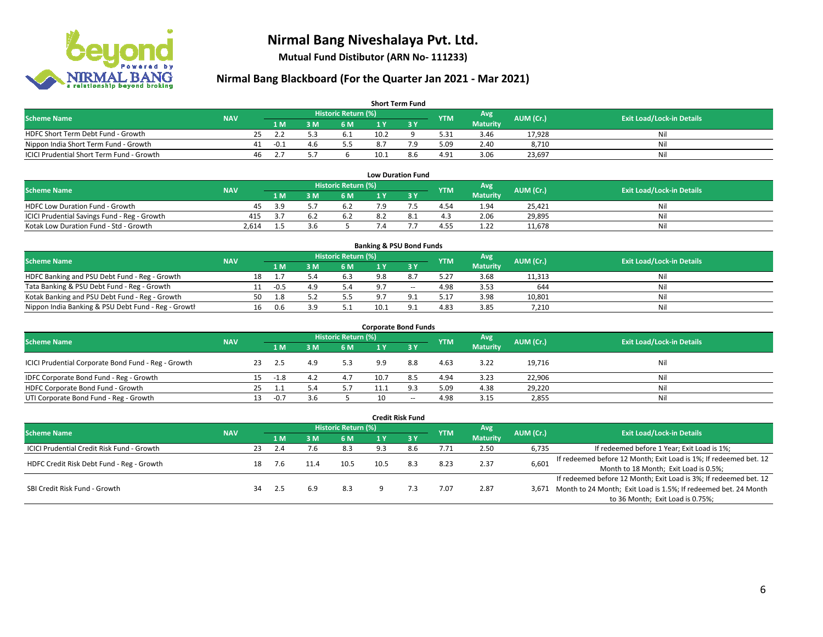

**Mutual Fund Distibutor (ARN No- 111233)**

| <b>Short Term Fund</b>                    |            |    |      |     |                            |      |     |            |                 |           |                                  |  |  |  |
|-------------------------------------------|------------|----|------|-----|----------------------------|------|-----|------------|-----------------|-----------|----------------------------------|--|--|--|
| <b>Scheme Name</b>                        | <b>NAV</b> |    |      |     | <b>Historic Return (%)</b> |      |     | <b>YTM</b> | Avg             | AUM (Cr.) | <b>Exit Load/Lock-in Details</b> |  |  |  |
|                                           |            |    | 1 M. | 8 M | 6 M                        |      |     |            | <b>Maturity</b> |           |                                  |  |  |  |
| HDFC Short Term Debt Fund - Growth        |            | 25 |      |     | 6.1                        | 10.2 |     | 5.31       | 3.46            | 17,928    | Ni                               |  |  |  |
| Nippon India Short Term Fund - Growth     |            | 41 | -0.1 |     |                            | 8.7  | ہ 7 | 5.09       | 2.40            | 8.710     | Ni                               |  |  |  |
| ICICI Prudential Short Term Fund - Growth |            | 46 |      |     |                            | 10.1 | 8.6 | 4.91       | 3.06            | 23,697    | Nil                              |  |  |  |

| <b>Low Duration Fund</b>                     |            |     |  |                     |     |  |            |                 |           |                                  |  |  |  |
|----------------------------------------------|------------|-----|--|---------------------|-----|--|------------|-----------------|-----------|----------------------------------|--|--|--|
| <b>Scheme Name</b>                           | <b>NAV</b> |     |  | Historic Return (%) |     |  | <b>YTM</b> | Avg             | AUM (Cr.) | <b>Exit Load/Lock-in Details</b> |  |  |  |
|                                              |            | 1 M |  | 6 M                 |     |  |            | <b>Maturity</b> |           |                                  |  |  |  |
| <b>HDFC Low Duration Fund - Growth</b>       | 45         | 3 G |  | 6.2                 | ہ 7 |  | 4.54       | 1.94            | 25.421    | Nil                              |  |  |  |
| ICICI Prudential Savings Fund - Reg - Growth | 415        | 2.  |  | 6.2                 | 8.2 |  | 4.3        | 2.06            | 29,895    | Nil                              |  |  |  |
| Kotak Low Duration Fund - Std - Growth       | 2.614      |     |  |                     |     |  | 4.55       | 1.22            | 11,678    | Nil                              |  |  |  |

| <b>Banking &amp; PSU Bond Funds</b>                 |            |    |        |     |                     |      |          |            |                 |           |                                  |  |  |
|-----------------------------------------------------|------------|----|--------|-----|---------------------|------|----------|------------|-----------------|-----------|----------------------------------|--|--|
| <b>Scheme Name</b>                                  | <b>NAV</b> |    |        |     | Historic Return (%) |      |          | <b>YTM</b> | Avg             | AUM (Cr.) | <b>Exit Load/Lock-in Details</b> |  |  |
|                                                     |            |    | 1 M    | : M | 6 M                 |      |          |            | <b>Maturity</b> |           |                                  |  |  |
| HDFC Banking and PSU Debt Fund - Reg - Growth       |            | 18 |        |     | 6.3                 | 9.8  |          | 5.27       | 3.68            | 11,313    | Nil                              |  |  |
| Tata Banking & PSU Debt Fund - Reg - Growth         |            |    | $-0.5$ |     |                     |      | $\sim$   | 4.98       | 3.53            | 644       | Nil                              |  |  |
| Kotak Banking and PSU Debt Fund - Reg - Growth      |            | 50 |        |     | 5.5                 |      |          | 5.17       | 3.98            | 10,801    | Nil                              |  |  |
| Nippon India Banking & PSU Debt Fund - Reg - Growth |            | 16 | 0.6    |     |                     | 10.1 | $\Omega$ | 4.83       | 3.85            | 7,210     | Nil                              |  |  |

| <b>Corporate Bond Funds</b>                         |            |     |        |     |                     |      |       |                 |      |           |                                  |  |  |
|-----------------------------------------------------|------------|-----|--------|-----|---------------------|------|-------|-----------------|------|-----------|----------------------------------|--|--|
| <b>Scheme Name</b>                                  | <b>NAV</b> |     |        |     | Historic Return (%) |      |       | <b>YTM</b>      | Avg  | AUM (Cr.) | <b>Exit Load/Lock-in Details</b> |  |  |
|                                                     |            |     | 1 M    | M   | 6 M                 | 1 Y  |       | <b>Maturity</b> |      |           |                                  |  |  |
| ICICI Prudential Corporate Bond Fund - Reg - Growth |            | -23 | 2.5    |     | 5.3                 | 9.9  | 8.8   | 4.63            | 3.22 | 19.716    | Nil                              |  |  |
| IDFC Corporate Bond Fund - Reg - Growth             |            | 15  | $-1.8$ | 4.2 | 4.7                 | 10.7 | 8.5   | 4.94            | 3.23 | 22,906    | Nil                              |  |  |
| HDFC Corporate Bond Fund - Growth                   |            | 25  |        |     | 5.7                 |      | 9.3   | 5.09            | 4.38 | 29,220    | Nil                              |  |  |
| UTI Corporate Bond Fund - Reg - Growth              |            | 13. | $-0.7$ | 3.b |                     |      | $- -$ | 4.98            | 3.15 | 2,855     | Nil                              |  |  |

| <b>Credit Risk Fund</b>                    |            |    |      |      |                            |      |           |            |                        |           |                                                                       |  |  |
|--------------------------------------------|------------|----|------|------|----------------------------|------|-----------|------------|------------------------|-----------|-----------------------------------------------------------------------|--|--|
| <b>Scheme Name</b>                         | <b>NAV</b> |    |      |      | <b>Historic Return (%)</b> |      |           | <b>YTM</b> | Avg<br><b>Maturity</b> | AUM (Cr.) | <b>Exit Load/Lock-in Details</b>                                      |  |  |
|                                            |            |    | 1 M  | 8 M  | 6 M                        | 1 Y  | $Z$ 3 $V$ |            |                        |           |                                                                       |  |  |
| ICICI Prudential Credit Risk Fund - Growth |            | 23 | 2.4  |      | 8.3                        | 9.3  | 8.6       | 7.71       | 2.50                   | 6,735     | If redeemed before 1 Year; Exit Load is 1%;                           |  |  |
| HDFC Credit Risk Debt Fund - Reg - Growth  |            |    |      | 11.4 | 10.5                       | 10.5 | 8.3       | 8.23       | 2.37                   | 6,601     | If redeemed before 12 Month; Exit Load is 1%; If redeemed bet. 12     |  |  |
|                                            |            | 18 | 7.6  |      |                            |      |           |            |                        |           | Month to 18 Month; Exit Load is 0.5%;                                 |  |  |
|                                            |            |    |      |      |                            |      |           |            |                        |           | If redeemed before 12 Month; Exit Load is 3%; If redeemed bet. 12     |  |  |
| SBI Credit Risk Fund - Growth              |            | 34 | -2.5 | 6.9  | 8.3                        |      |           | 7.07       | 2.87                   |           | 3,671 Month to 24 Month; Exit Load is 1.5%; If redeemed bet. 24 Month |  |  |
|                                            |            |    |      |      |                            |      |           |            |                        |           | to 36 Month; Exit Load is 0.75%;                                      |  |  |